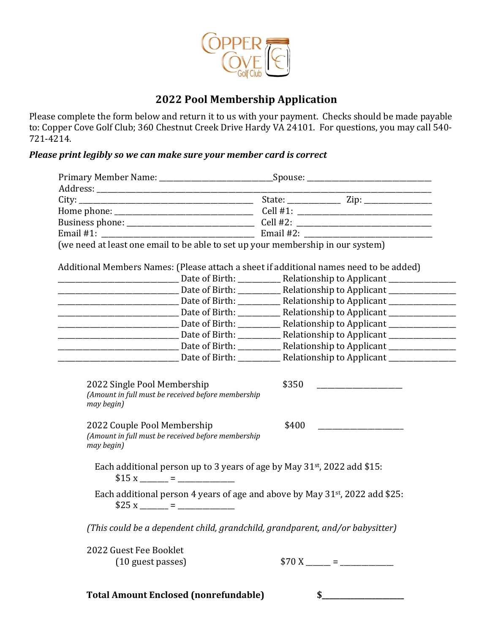

## **2022 Pool Membership Application**

Please complete the form below and return it to us with your payment. Checks should be made payable to: Copper Cove Golf Club; 360 Chestnut Creek Drive Hardy VA 24101. For questions, you may call 540-721-4214. 

## Please print legibly so we can make sure your member card is correct

| (we need at least one email to be able to set up your membership in our system)                     |                                                                                      |  |
|-----------------------------------------------------------------------------------------------------|--------------------------------------------------------------------------------------|--|
|                                                                                                     |                                                                                      |  |
| Additional Members Names: (Please attach a sheet if additional names need to be added)              |                                                                                      |  |
|                                                                                                     |                                                                                      |  |
|                                                                                                     |                                                                                      |  |
| <u>Date of Birth: Relationship to Applicant Number of Birth: Netwith: Relationship to Applicant</u> |                                                                                      |  |
|                                                                                                     |                                                                                      |  |
|                                                                                                     |                                                                                      |  |
|                                                                                                     |                                                                                      |  |
|                                                                                                     |                                                                                      |  |
|                                                                                                     |                                                                                      |  |
| (Amount in full must be received before membership<br>may begin)                                    |                                                                                      |  |
| 2022 Couple Pool Membership<br>(Amount in full must be received before membership<br>may begin)     | \$400                                                                                |  |
|                                                                                                     | Each additional person up to 3 years of age by May 31 <sup>st</sup> , 2022 add \$15: |  |
|                                                                                                     | Each additional person 4 years of age and above by May 31st, 2022 add \$25:          |  |
|                                                                                                     | (This could be a dependent child, grandchild, grandparent, and/or babysitter)        |  |
|                                                                                                     |                                                                                      |  |
| 2022 Guest Fee Booklet<br>(10 guest passes)                                                         |                                                                                      |  |